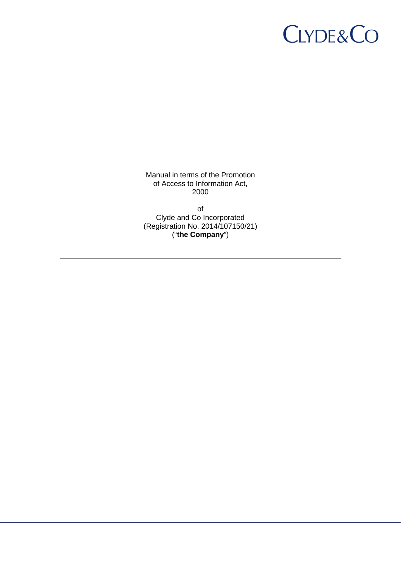# **CLYDE&CO**

Manual in terms of the Promotion of Access to Information Act, 2000

of Clyde and Co Incorporated (Registration No. 2014/107150/21) ("**the Company**")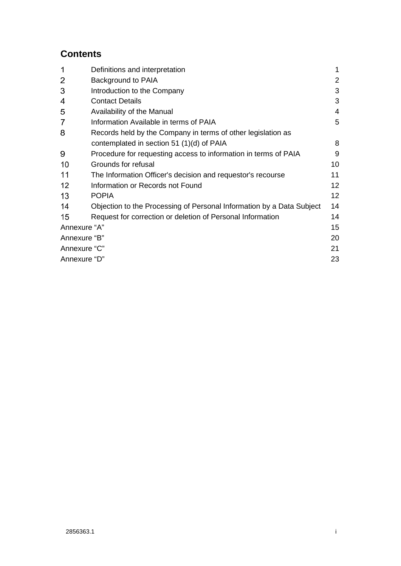# **Contents**

| 1              | Definitions and interpretation                                        | 1  |
|----------------|-----------------------------------------------------------------------|----|
| 2              | Background to PAIA                                                    | 2  |
| 3              | Introduction to the Company                                           | 3  |
| 4              | <b>Contact Details</b>                                                | 3  |
| 5              | Availability of the Manual                                            | 4  |
| $\overline{7}$ | Information Available in terms of PAIA                                | 5  |
| 8              | Records held by the Company in terms of other legislation as          |    |
|                | contemplated in section 51 (1)(d) of PAIA                             | 8  |
| 9              | Procedure for requesting access to information in terms of PAIA       | 9  |
| 10             | Grounds for refusal                                                   | 10 |
| 11             | The Information Officer's decision and requestor's recourse           | 11 |
| 12             | Information or Records not Found                                      | 12 |
| 13             | <b>POPIA</b>                                                          | 12 |
| 14             | Objection to the Processing of Personal Information by a Data Subject | 14 |
| 15             | Request for correction or deletion of Personal Information            | 14 |
|                | Annexure "A"                                                          |    |
| Annexure "B"   |                                                                       | 20 |
| Annexure "C"   |                                                                       | 21 |
| Annexure "D"   |                                                                       | 23 |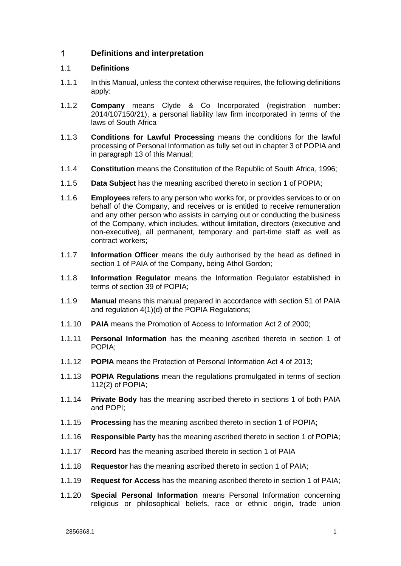#### <span id="page-2-0"></span> $\mathbf{1}$ **Definitions and interpretation**

# 1.1 **Definitions**

- 1.1.1 In this Manual, unless the context otherwise requires, the following definitions apply:
- 1.1.2 **Company** means Clyde & Co Incorporated (registration number: 2014/107150/21), a personal liability law firm incorporated in terms of the laws of South Africa
- 1.1.3 **Conditions for Lawful Processing** means the conditions for the lawful processing of Personal Information as fully set out in chapter 3 of POPIA and in paragraph 13 of this Manual;
- 1.1.4 **Constitution** means the Constitution of the Republic of South Africa, 1996;
- 1.1.5 **Data Subject** has the meaning ascribed thereto in section 1 of POPIA;
- 1.1.6 **Employees** refers to any person who works for, or provides services to or on behalf of the Company, and receives or is entitled to receive remuneration and any other person who assists in carrying out or conducting the business of the Company, which includes, without limitation, directors (executive and non-executive), all permanent, temporary and part-time staff as well as contract workers;
- 1.1.7 **Information Officer** means the duly authorised by the head as defined in section 1 of PAIA of the Company, being Athol Gordon;
- 1.1.8 **Information Regulator** means the Information Regulator established in terms of section 39 of POPIA;
- 1.1.9 **Manual** means this manual prepared in accordance with section 51 of PAIA and regulation 4(1)(d) of the POPIA Regulations;
- 1.1.10 **PAIA** means the Promotion of Access to Information Act 2 of 2000;
- 1.1.11 **Personal Information** has the meaning ascribed thereto in section 1 of POPIA;
- 1.1.12 **POPIA** means the Protection of Personal Information Act 4 of 2013;
- 1.1.13 **POPIA Regulations** mean the regulations promulgated in terms of section 112(2) of POPIA;
- 1.1.14 **Private Body** has the meaning ascribed thereto in sections 1 of both PAIA and POPI;
- 1.1.15 **Processing** has the meaning ascribed thereto in section 1 of POPIA;
- 1.1.16 **Responsible Party** has the meaning ascribed thereto in section 1 of POPIA;
- 1.1.17 **Record** has the meaning ascribed thereto in section 1 of PAIA
- 1.1.18 **Requestor** has the meaning ascribed thereto in section 1 of PAIA;
- 1.1.19 **Request for Access** has the meaning ascribed thereto in section 1 of PAIA;
- 1.1.20 **Special Personal Information** means Personal Information concerning religious or philosophical beliefs, race or ethnic origin, trade union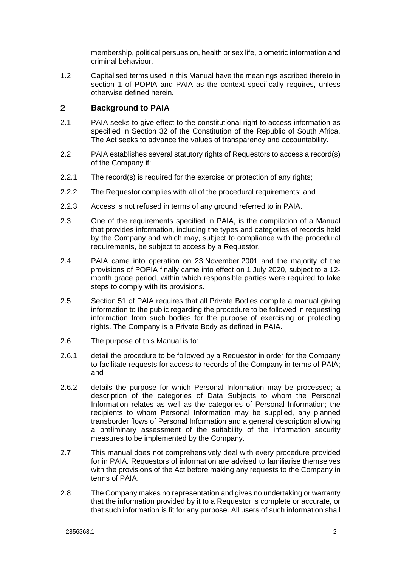membership, political persuasion, health or sex life, biometric information and criminal behaviour.

1.2 Capitalised terms used in this Manual have the meanings ascribed thereto in section 1 of POPIA and PAIA as the context specifically requires, unless otherwise defined herein.

#### <span id="page-3-0"></span> $\overline{2}$ **Background to PAIA**

- 2.1 PAIA seeks to give effect to the constitutional right to access information as specified in Section 32 of the Constitution of the Republic of South Africa. The Act seeks to advance the values of transparency and accountability.
- 2.2 PAIA establishes several statutory rights of Requestors to access a record(s) of the Company if:
- 2.2.1 The record(s) is required for the exercise or protection of any rights;
- 2.2.2 The Requestor complies with all of the procedural requirements; and
- 2.2.3 Access is not refused in terms of any ground referred to in PAIA.
- 2.3 One of the requirements specified in PAIA, is the compilation of a Manual that provides information, including the types and categories of records held by the Company and which may, subject to compliance with the procedural requirements, be subject to access by a Requestor.
- 2.4 PAIA came into operation on 23 November 2001 and the majority of the provisions of POPIA finally came into effect on 1 July 2020, subject to a 12 month grace period, within which responsible parties were required to take steps to comply with its provisions.
- 2.5 Section 51 of PAIA requires that all Private Bodies compile a manual giving information to the public regarding the procedure to be followed in requesting information from such bodies for the purpose of exercising or protecting rights. The Company is a Private Body as defined in PAIA.
- 2.6 The purpose of this Manual is to:
- 2.6.1 detail the procedure to be followed by a Requestor in order for the Company to facilitate requests for access to records of the Company in terms of PAIA; and
- 2.6.2 details the purpose for which Personal Information may be processed; a description of the categories of Data Subjects to whom the Personal Information relates as well as the categories of Personal Information; the recipients to whom Personal Information may be supplied, any planned transborder flows of Personal Information and a general description allowing a preliminary assessment of the suitability of the information security measures to be implemented by the Company.
- 2.7 This manual does not comprehensively deal with every procedure provided for in PAIA. Requestors of information are advised to familiarise themselves with the provisions of the Act before making any requests to the Company in terms of PAIA.
- 2.8 The Company makes no representation and gives no undertaking or warranty that the information provided by it to a Requestor is complete or accurate, or that such information is fit for any purpose. All users of such information shall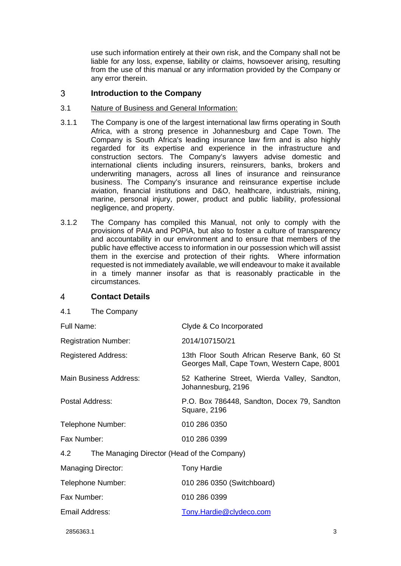use such information entirely at their own risk, and the Company shall not be liable for any loss, expense, liability or claims, howsoever arising, resulting from the use of this manual or any information provided by the Company or any error therein.

#### <span id="page-4-0"></span> $\mathbf{3}$ **Introduction to the Company**

# 3.1 Nature of Business and General Information:

- 3.1.1 The Company is one of the largest international law firms operating in South Africa, with a strong presence in Johannesburg and Cape Town. The Company is South Africa's leading insurance law firm and is also highly regarded for its expertise and experience in the infrastructure and construction sectors. The Company's lawyers advise domestic and international clients including insurers, reinsurers, banks, brokers and underwriting managers, across all lines of insurance and reinsurance business. The Company's insurance and reinsurance expertise include aviation, financial institutions and D&O, healthcare, industrials, mining, marine, personal injury, power, product and public liability, professional negligence, and property.
- 3.1.2 The Company has compiled this Manual, not only to comply with the provisions of PAIA and POPIA, but also to foster a culture of transparency and accountability in our environment and to ensure that members of the public have effective access to information in our possession which will assist them in the exercise and protection of their rights. Where information requested is not immediately available, we will endeavour to make it available in a timely manner insofar as that is reasonably practicable in the circumstances.

#### <span id="page-4-1"></span> $\overline{4}$ **Contact Details**

| Clyde & Co Incorporated                                                                     |  |  |  |
|---------------------------------------------------------------------------------------------|--|--|--|
| 2014/107150/21                                                                              |  |  |  |
| 13th Floor South African Reserve Bank, 60 St<br>Georges Mall, Cape Town, Western Cape, 8001 |  |  |  |
| 52 Katherine Street, Wierda Valley, Sandton,<br>Johannesburg, 2196                          |  |  |  |
| P.O. Box 786448, Sandton, Docex 79, Sandton<br>Square, 2196                                 |  |  |  |
| 010 286 0350                                                                                |  |  |  |
| 010 286 0399                                                                                |  |  |  |
| 4.2<br>The Managing Director (Head of the Company)                                          |  |  |  |
| <b>Tony Hardie</b>                                                                          |  |  |  |
| 010 286 0350 (Switchboard)                                                                  |  |  |  |
| 010 286 0399                                                                                |  |  |  |
| Tony.Hardie@clydeco.com                                                                     |  |  |  |
|                                                                                             |  |  |  |

2856363.1 3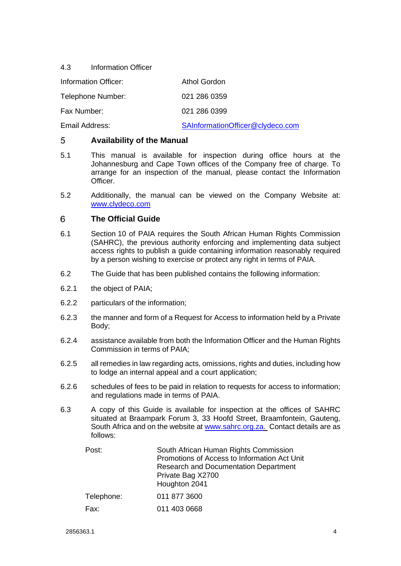4.3 Information Officer

| Information Officer: | Athol Gordon                     |
|----------------------|----------------------------------|
| Telephone Number:    | 021 286 0359                     |
| Fax Number:          | 021 286 0399                     |
| Email Address:       | SAInformationOfficer@clydeco.com |

#### <span id="page-5-0"></span> $5<sup>5</sup>$ **Availability of the Manual**

- 5.1 This manual is available for inspection during office hours at the Johannesburg and Cape Town offices of the Company free of charge. To arrange for an inspection of the manual, please contact the Information Officer.
- 5.2 Additionally, the manual can be viewed on the Company Website at: [www.clydeco.com](http://www.clydeco.com/)

#### 6 **The Official Guide**

- 6.1 Section 10 of PAIA requires the South African Human Rights Commission (SAHRC), the previous authority enforcing and implementing data subject access rights to publish a guide containing information reasonably required by a person wishing to exercise or protect any right in terms of PAIA.
- 6.2 The Guide that has been published contains the following information:
- 6.2.1 the object of PAIA;
- 6.2.2 particulars of the information;
- 6.2.3 the manner and form of a Request for Access to information held by a Private Body;
- 6.2.4 assistance available from both the Information Officer and the Human Rights Commission in terms of PAIA;
- 6.2.5 all remedies in law regarding acts, omissions, rights and duties, including how to lodge an internal appeal and a court application;
- 6.2.6 schedules of fees to be paid in relation to requests for access to information; and regulations made in terms of PAIA.
- 6.3 A copy of this Guide is available for inspection at the offices of SAHRC situated at Braampark Forum 3, 33 Hoofd Street, Braamfontein, Gauteng, South Africa and on the website at [www.sahrc.org.za](http://www.sahrc.org.za/). Contact details are as follows:

| Post:      | South African Human Rights Commission<br>Promotions of Access to Information Act Unit<br><b>Research and Documentation Department</b><br>Private Bag X2700<br>Houghton 2041 |
|------------|-----------------------------------------------------------------------------------------------------------------------------------------------------------------------------|
| Telephone: | 011 877 3600                                                                                                                                                                |
| Fax:       | 011 403 0668                                                                                                                                                                |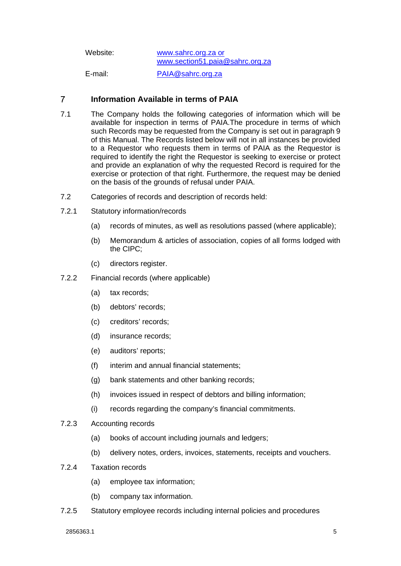| Website: | www.sahrc.org.za or<br>www.section51.paia@sahrc.org.za |
|----------|--------------------------------------------------------|
| E-mail:  | PAIA@sahrc.org.za                                      |

#### <span id="page-6-0"></span> $\overline{7}$ **Information Available in terms of PAIA**

- 7.1 The Company holds the following categories of information which will be available for inspection in terms of PAIA.The procedure in terms of which such Records may be requested from the Company is set out in paragraph [9](#page-10-0) of this Manual. The Records listed below will not in all instances be provided to a Requestor who requests them in terms of PAIA as the Requestor is required to identify the right the Requestor is seeking to exercise or protect and provide an explanation of why the requested Record is required for the exercise or protection of that right. Furthermore, the request may be denied on the basis of the grounds of refusal under PAIA.
- 7.2 Categories of records and description of records held:
- 7.2.1 Statutory information/records
	- (a) records of minutes, as well as resolutions passed (where applicable);
	- (b) Memorandum & articles of association, copies of all forms lodged with the CIPC;
	- (c) directors register.
- 7.2.2 Financial records (where applicable)
	- (a) tax records;
	- (b) debtors' records;
	- (c) creditors' records;
	- (d) insurance records;
	- (e) auditors' reports;
	- (f) interim and annual financial statements;
	- (g) bank statements and other banking records;
	- (h) invoices issued in respect of debtors and billing information;
	- (i) records regarding the company's financial commitments.
- 7.2.3 Accounting records
	- (a) books of account including journals and ledgers;
	- (b) delivery notes, orders, invoices, statements, receipts and vouchers.
- 7.2.4 Taxation records
	- (a) employee tax information;
	- (b) company tax information.
- 7.2.5 Statutory employee records including internal policies and procedures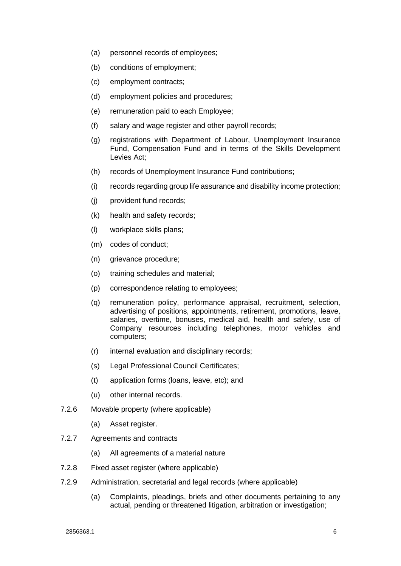- (a) personnel records of employees;
- (b) conditions of employment;
- (c) employment contracts;
- (d) employment policies and procedures;
- (e) remuneration paid to each Employee;
- (f) salary and wage register and other payroll records;
- (g) registrations with Department of Labour, Unemployment Insurance Fund, Compensation Fund and in terms of the Skills Development Levies Act;
- (h) records of Unemployment Insurance Fund contributions;
- (i) records regarding group life assurance and disability income protection;
- (j) provident fund records;
- (k) health and safety records;
- (l) workplace skills plans;
- (m) codes of conduct;
- (n) grievance procedure;
- (o) training schedules and material;
- (p) correspondence relating to employees;
- (q) remuneration policy, performance appraisal, recruitment, selection, advertising of positions, appointments, retirement, promotions, leave, salaries, overtime, bonuses, medical aid, health and safety, use of Company resources including telephones, motor vehicles and computers;
- (r) internal evaluation and disciplinary records;
- (s) Legal Professional Council Certificates;
- (t) application forms (loans, leave, etc); and
- (u) other internal records.
- 7.2.6 Movable property (where applicable)
	- (a) Asset register.
- 7.2.7 Agreements and contracts
	- (a) All agreements of a material nature
- 7.2.8 Fixed asset register (where applicable)
- 7.2.9 Administration, secretarial and legal records (where applicable)
	- (a) Complaints, pleadings, briefs and other documents pertaining to any actual, pending or threatened litigation, arbitration or investigation;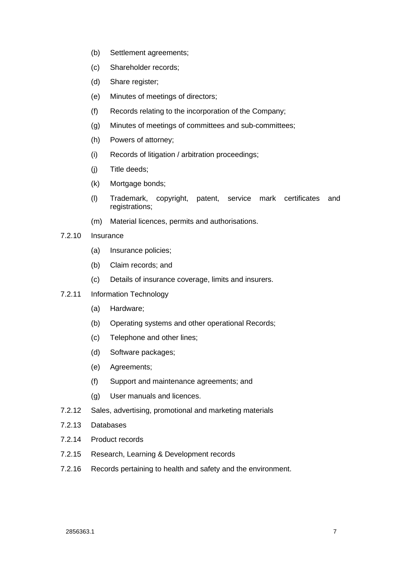- (b) Settlement agreements;
- (c) Shareholder records;
- (d) Share register;
- (e) Minutes of meetings of directors;
- (f) Records relating to the incorporation of the Company;
- (g) Minutes of meetings of committees and sub-committees;
- (h) Powers of attorney;
- (i) Records of litigation / arbitration proceedings;
- (j) Title deeds;
- (k) Mortgage bonds;
- (l) Trademark, copyright, patent, service mark certificates and registrations;
- (m) Material licences, permits and authorisations.
- 7.2.10 Insurance
	- (a) Insurance policies;
	- (b) Claim records; and
	- (c) Details of insurance coverage, limits and insurers.
- 7.2.11 Information Technology
	- (a) Hardware;
	- (b) Operating systems and other operational Records;
	- (c) Telephone and other lines;
	- (d) Software packages;
	- (e) Agreements;
	- (f) Support and maintenance agreements; and
	- (g) User manuals and licences.
- 7.2.12 Sales, advertising, promotional and marketing materials
- 7.2.13 Databases
- 7.2.14 Product records
- 7.2.15 Research, Learning & Development records
- 7.2.16 Records pertaining to health and safety and the environment.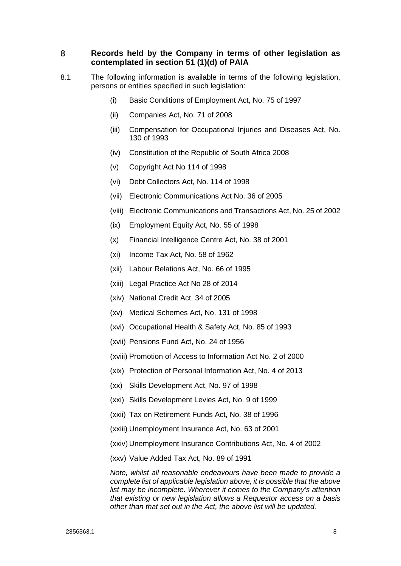#### <span id="page-9-0"></span>8 **Records held by the Company in terms of other legislation as contemplated in section 51 (1)(d) of PAIA**

- 8.1 The following information is available in terms of the following legislation, persons or entities specified in such legislation:
	- (i) Basic Conditions of Employment Act, No. 75 of 1997
	- (ii) Companies Act, No. 71 of 2008
	- (iii) Compensation for Occupational Injuries and Diseases Act, No. 130 of 1993
	- (iv) Constitution of the Republic of South Africa 2008
	- (v) Copyright Act No 114 of 1998
	- (vi) Debt Collectors Act, No. 114 of 1998
	- (vii) Electronic Communications Act No. 36 of 2005
	- (viii) Electronic Communications and Transactions Act, No. 25 of 2002
	- (ix) Employment Equity Act, No. 55 of 1998
	- (x) Financial Intelligence Centre Act, No. 38 of 2001
	- (xi) Income Tax Act, No. 58 of 1962
	- (xii) Labour Relations Act, No. 66 of 1995
	- (xiii) Legal Practice Act No 28 of 2014
	- (xiv) National Credit Act. 34 of 2005
	- (xv) Medical Schemes Act, No. 131 of 1998
	- (xvi) Occupational Health & Safety Act, No. 85 of 1993
	- (xvii) Pensions Fund Act, No. 24 of 1956
	- (xviii) Promotion of Access to Information Act No. 2 of 2000
	- (xix) Protection of Personal Information Act, No. 4 of 2013
	- (xx) Skills Development Act, No. 97 of 1998
	- (xxi) Skills Development Levies Act, No. 9 of 1999
	- (xxii) Tax on Retirement Funds Act, No. 38 of 1996
	- (xxiii) Unemployment Insurance Act, No. 63 of 2001
	- (xxiv) Unemployment Insurance Contributions Act, No. 4 of 2002
	- (xxv) Value Added Tax Act, No. 89 of 1991

*Note, whilst all reasonable endeavours have been made to provide a complete list of applicable legislation above, it is possible that the above list may be incomplete. Wherever it comes to the Company's attention that existing or new legislation allows a Requestor access on a basis other than that set out in the Act, the above list will be updated.*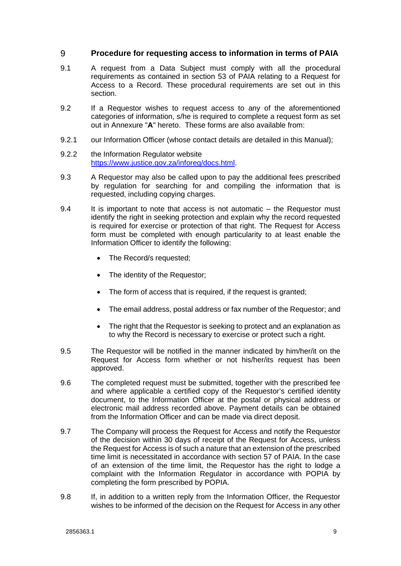#### <span id="page-10-0"></span>9 **Procedure for requesting access to information in terms of PAIA**

- 9.1 A request from a Data Subject must comply with all the procedural requirements as contained in section 53 of PAIA relating to a Request for Access to a Record. These procedural requirements are set out in this section.
- 9.2 If a Requestor wishes to request access to any of the aforementioned categories of information, s/he is required to complete a request form as set out in Annexure "**A**" hereto. These forms are also available from:
- 9.2.1 our Information Officer (whose contact details are detailed in this Manual);
- 9.2.2 the Information Regulator website [https://www.justice.gov.za/inforeg/docs.html.](https://www.justice.gov.za/inforeg/docs.html)
- 9.3 A Requestor may also be called upon to pay the additional fees prescribed by regulation for searching for and compiling the information that is requested, including copying charges.
- 9.4 It is important to note that access is not automatic the Requestor must identify the right in seeking protection and explain why the record requested is required for exercise or protection of that right. The Request for Access form must be completed with enough particularity to at least enable the Information Officer to identify the following:
	- The Record/s requested;
	- The identity of the Requestor;
	- The form of access that is required, if the request is granted;
	- The email address, postal address or fax number of the Requestor; and
	- The right that the Requestor is seeking to protect and an explanation as to why the Record is necessary to exercise or protect such a right.
- 9.5 The Requestor will be notified in the manner indicated by him/her/it on the Request for Access form whether or not his/her/its request has been approved.
- 9.6 The completed request must be submitted, together with the prescribed fee and where applicable a certified copy of the Requestor's certified identity document, to the Information Officer at the postal or physical address or electronic mail address recorded above. Payment details can be obtained from the Information Officer and can be made via direct deposit.
- 9.7 The Company will process the Request for Access and notify the Requestor of the decision within 30 days of receipt of the Request for Access, unless the Request for Access is of such a nature that an extension of the prescribed time limit is necessitated in accordance with section 57 of PAIA. In the case of an extension of the time limit, the Requestor has the right to lodge a complaint with the Information Regulator in accordance with POPIA by completing the form prescribed by POPIA.
- 9.8 If, in addition to a written reply from the Information Officer, the Requestor wishes to be informed of the decision on the Request for Access in any other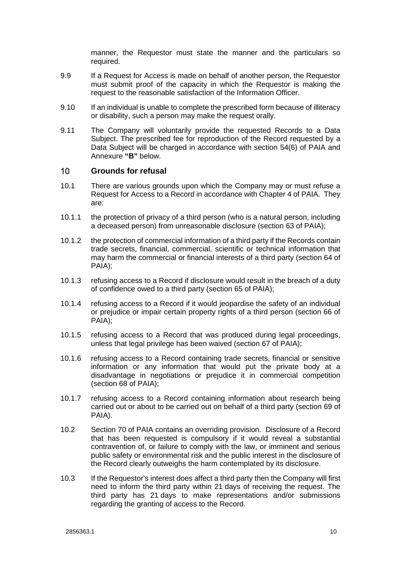manner, the Requestor must state the manner and the particulars so required.

- 9.9 If a Request for Access is made on behalf of another person, the Requestor must submit proof of the capacity in which the Requestor is making the request to the reasonable satisfaction of the Information Officer.
- 9.10 If an individual is unable to complete the prescribed form because of illiteracy or disability, such a person may make the request orally.
- 9.11 The Company will voluntarily provide the requested Records to a Data Subject. The prescribed fee for reproduction of the Record requested by a Data Subject will be charged in accordance with section 54(6) of PAIA and Annexure **"B"** below.

#### <span id="page-11-0"></span> $10<sup>°</sup>$ **Grounds for refusal**

- 10.1 There are various grounds upon which the Company may or must refuse a Request for Access to a Record in accordance with Chapter 4 of PAIA. They are:
- 10.1.1 the protection of privacy of a third person (who is a natural person, including a deceased person) from unreasonable disclosure (section 63 of PAIA);
- 10.1.2 the protection of commercial information of a third party if the Records contain trade secrets, financial, commercial, scientific or technical information that may harm the commercial or financial interests of a third party (section 64 of PAIA);
- 10.1.3 refusing access to a Record if disclosure would result in the breach of a duty of confidence owed to a third party (section 65 of PAIA);
- 10.1.4 refusing access to a Record if it would jeopardise the safety of an individual or prejudice or impair certain property rights of a third person (section 66 of PAIA);
- 10.1.5 refusing access to a Record that was produced during legal proceedings, unless that legal privilege has been waived (section 67 of PAIA);
- 10.1.6 refusing access to a Record containing trade secrets, financial or sensitive information or any information that would put the private body at a disadvantage in negotiations or prejudice it in commercial competition (section 68 of PAIA);
- 10.1.7 refusing access to a Record containing information about research being carried out or about to be carried out on behalf of a third party (section 69 of PAIA).
- 10.2 Section 70 of PAIA contains an overriding provision. Disclosure of a Record that has been requested is compulsory if it would reveal a substantial contravention of, or failure to comply with the law, or imminent and serious public safety or environmental risk and the public interest in the disclosure of the Record clearly outweighs the harm contemplated by its disclosure.
- 10.3 If the Requestor's interest does affect a third party then the Company will first need to inform the third party within 21 days of receiving the request. The third party has 21 days to make representations and/or submissions regarding the granting of access to the Record.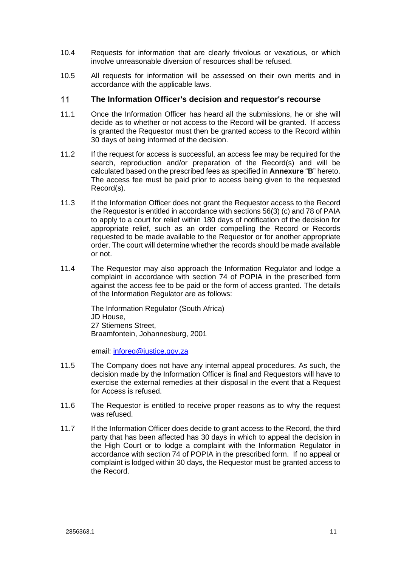- 10.4 Requests for information that are clearly frivolous or vexatious, or which involve unreasonable diversion of resources shall be refused.
- 10.5 All requests for information will be assessed on their own merits and in accordance with the applicable laws.

#### <span id="page-12-0"></span> $11$ **The Information Officer's decision and requestor's recourse**

- 11.1 Once the Information Officer has heard all the submissions, he or she will decide as to whether or not access to the Record will be granted. If access is granted the Requestor must then be granted access to the Record within 30 days of being informed of the decision.
- 11.2 If the request for access is successful, an access fee may be required for the search, reproduction and/or preparation of the Record(s) and will be calculated based on the prescribed fees as specified in **Annexure** "**B**" hereto. The access fee must be paid prior to access being given to the requested Record(s).
- 11.3 If the Information Officer does not grant the Requestor access to the Record the Requestor is entitled in accordance with sections 56(3) (c) and 78 of PAIA to apply to a court for relief within 180 days of notification of the decision for appropriate relief, such as an order compelling the Record or Records requested to be made available to the Requestor or for another appropriate order. The court will determine whether the records should be made available or not.
- 11.4 The Requestor may also approach the Information Regulator and lodge a complaint in accordance with section 74 of POPIA in the prescribed form against the access fee to be paid or the form of access granted. The details of the Information Regulator are as follows:

The Information Regulator (South Africa) JD House, 27 Stiemens Street, Braamfontein, Johannesburg, 2001

email: [inforeg@justice.gov.za](mailto:inforeg@justice.gov.za)

- 11.5 The Company does not have any internal appeal procedures. As such, the decision made by the Information Officer is final and Requestors will have to exercise the external remedies at their disposal in the event that a Request for Access is refused.
- 11.6 The Requestor is entitled to receive proper reasons as to why the request was refused.
- 11.7 If the Information Officer does decide to grant access to the Record, the third party that has been affected has 30 days in which to appeal the decision in the High Court or to lodge a complaint with the Information Regulator in accordance with section 74 of POPIA in the prescribed form. If no appeal or complaint is lodged within 30 days, the Requestor must be granted access to the Record.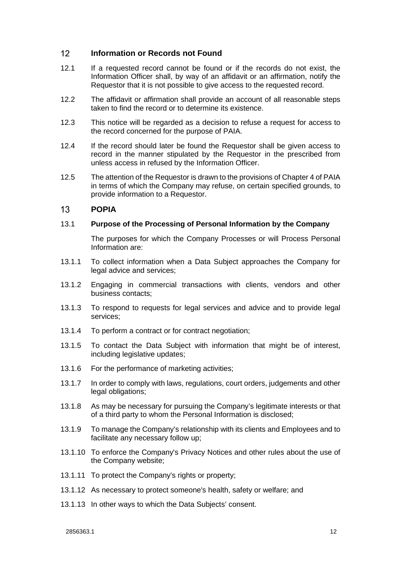#### <span id="page-13-0"></span> $12<sup>°</sup>$ **Information or Records not Found**

- 12.1 If a requested record cannot be found or if the records do not exist, the Information Officer shall, by way of an affidavit or an affirmation, notify the Requestor that it is not possible to give access to the requested record.
- 12.2 The affidavit or affirmation shall provide an account of all reasonable steps taken to find the record or to determine its existence.
- 12.3 This notice will be regarded as a decision to refuse a request for access to the record concerned for the purpose of PAIA.
- 12.4 If the record should later be found the Requestor shall be given access to record in the manner stipulated by the Requestor in the prescribed from unless access in refused by the Information Officer.
- 12.5 The attention of the Requestor is drawn to the provisions of Chapter 4 of PAIA in terms of which the Company may refuse, on certain specified grounds, to provide information to a Requestor.

#### <span id="page-13-1"></span> $13$ **POPIA**

# 13.1 **Purpose of the Processing of Personal Information by the Company**

The purposes for which the Company Processes or will Process Personal Information are:

- 13.1.1 To collect information when a Data Subject approaches the Company for legal advice and services;
- 13.1.2 Engaging in commercial transactions with clients, vendors and other business contacts;
- 13.1.3 To respond to requests for legal services and advice and to provide legal services;
- 13.1.4 To perform a contract or for contract negotiation;
- 13.1.5 To contact the Data Subject with information that might be of interest, including legislative updates;
- 13.1.6 For the performance of marketing activities;
- 13.1.7 In order to comply with laws, regulations, court orders, judgements and other legal obligations;
- 13.1.8 As may be necessary for pursuing the Company's legitimate interests or that of a third party to whom the Personal Information is disclosed;
- 13.1.9 To manage the Company's relationship with its clients and Employees and to facilitate any necessary follow up;
- 13.1.10 To enforce the Company's Privacy Notices and other rules about the use of the Company website;
- 13.1.11 To protect the Company's rights or property;
- 13.1.12 As necessary to protect someone's health, safety or welfare; and
- 13.1.13 In other ways to which the Data Subjects' consent.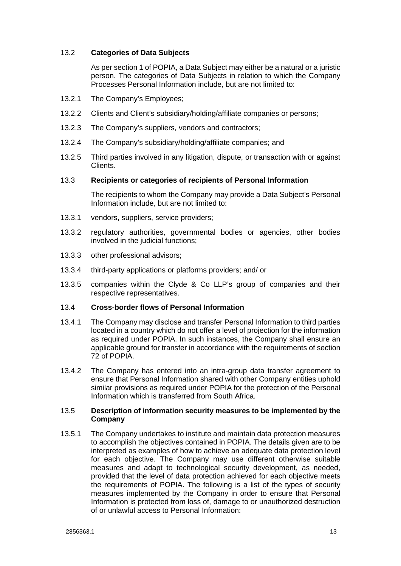# 13.2 **Categories of Data Subjects**

As per section 1 of POPIA, a Data Subject may either be a natural or a juristic person. The categories of Data Subjects in relation to which the Company Processes Personal Information include, but are not limited to:

- 13.2.1 The Company's Employees;
- 13.2.2 Clients and Client's subsidiary/holding/affiliate companies or persons;
- 13.2.3 The Company's suppliers, vendors and contractors;
- 13.2.4 The Company's subsidiary/holding/affiliate companies; and
- 13.2.5 Third parties involved in any litigation, dispute, or transaction with or against Clients.

### 13.3 **Recipients or categories of recipients of Personal Information**

The recipients to whom the Company may provide a Data Subject's Personal Information include, but are not limited to:

- 13.3.1 vendors, suppliers, service providers;
- 13.3.2 regulatory authorities, governmental bodies or agencies, other bodies involved in the judicial functions;
- 13.3.3 other professional advisors;
- 13.3.4 third-party applications or platforms providers; and/ or
- 13.3.5 companies within the Clyde & Co LLP's group of companies and their respective representatives.

# 13.4 **Cross-border flows of Personal Information**

- 13.4.1 The Company may disclose and transfer Personal Information to third parties located in a country which do not offer a level of projection for the information as required under POPIA. In such instances, the Company shall ensure an applicable ground for transfer in accordance with the requirements of section 72 of POPIA.
- 13.4.2 The Company has entered into an intra-group data transfer agreement to ensure that Personal Information shared with other Company entities uphold similar provisions as required under POPIA for the protection of the Personal Information which is transferred from South Africa.

# 13.5 **Description of information security measures to be implemented by the Company**

13.5.1 The Company undertakes to institute and maintain data protection measures to accomplish the objectives contained in POPIA. The details given are to be interpreted as examples of how to achieve an adequate data protection level for each objective. The Company may use different otherwise suitable measures and adapt to technological security development, as needed, provided that the level of data protection achieved for each objective meets the requirements of POPIA. The following is a list of the types of security measures implemented by the Company in order to ensure that Personal Information is protected from loss of, damage to or unauthorized destruction of or unlawful access to Personal Information: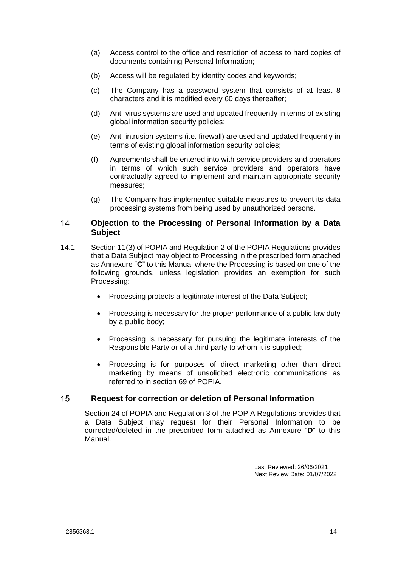- (a) Access control to the office and restriction of access to hard copies of documents containing Personal Information;
- (b) Access will be regulated by identity codes and keywords;
- (c) The Company has a password system that consists of at least 8 characters and it is modified every 60 days thereafter;
- (d) Anti-virus systems are used and updated frequently in terms of existing global information security policies;
- (e) Anti-intrusion systems (i.e. firewall) are used and updated frequently in terms of existing global information security policies;
- (f) Agreements shall be entered into with service providers and operators in terms of which such service providers and operators have contractually agreed to implement and maintain appropriate security measures;
- <span id="page-15-0"></span>(g) The Company has implemented suitable measures to prevent its data processing systems from being used by unauthorized persons.

#### $14$ **Objection to the Processing of Personal Information by a Data Subject**

- 14.1 Section 11(3) of POPIA and Regulation 2 of the POPIA Regulations provides that a Data Subject may object to Processing in the prescribed form attached as Annexure "**C**" to this Manual where the Processing is based on one of the following grounds, unless legislation provides an exemption for such Processing:
	- Processing protects a legitimate interest of the Data Subject;
	- Processing is necessary for the proper performance of a public law duty by a public body;
	- Processing is necessary for pursuing the legitimate interests of the Responsible Party or of a third party to whom it is supplied;
	- Processing is for purposes of direct marketing other than direct marketing by means of unsolicited electronic communications as referred to in section 69 of POPIA.

#### 15 **Request for correction or deletion of Personal Information**

<span id="page-15-1"></span>Section 24 of POPIA and Regulation 3 of the POPIA Regulations provides that a Data Subject may request for their Personal Information to be corrected/deleted in the prescribed form attached as Annexure "**D**" to this Manual.

> Last Reviewed: 26/06/2021 Next Review Date: 01/07/2022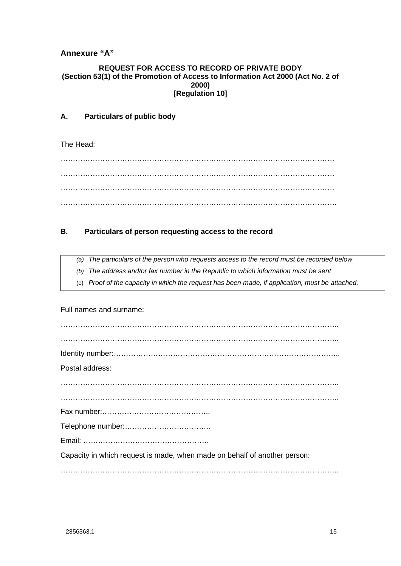# <span id="page-16-0"></span>**Annexure "A"**

# **REQUEST FOR ACCESS TO RECORD OF PRIVATE BODY (Section 53(1) of the Promotion of Access to Information Act 2000 (Act No. 2 of 2000) [Regulation 10]**

# **A. Particulars of public body**

The Head:

………………………………………………………………………………………………… ………………………………………………………………………………………………… ………………………………………………………………………………………………… ………………………………………………………………………………………………….

# **B. Particulars of person requesting access to the record**

*(a) The particulars of the person who requests access to the record must be recorded below* 

- *(b) The address and/or fax number in the Republic to which information must be sent*
- (c) *Proof of the capacity in which the request has been made, if application, must be attached.*

Full names and surname:

| Postal address:                                                           |
|---------------------------------------------------------------------------|
|                                                                           |
|                                                                           |
|                                                                           |
|                                                                           |
|                                                                           |
|                                                                           |
| Capacity in which request is made, when made on behalf of another person: |
|                                                                           |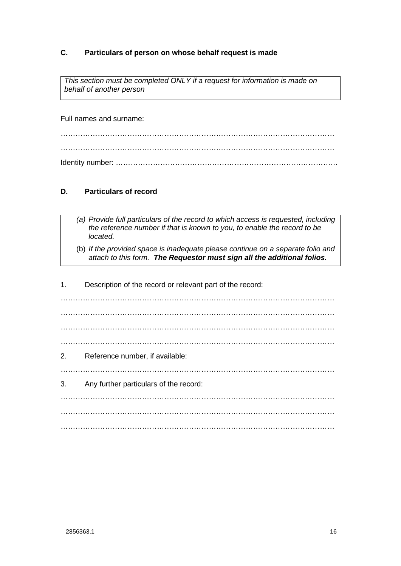# **C. Particulars of person on whose behalf request is made**

*This section must be completed ONLY if a request for information is made on behalf of another person* 

Full names and surname:

………………………………………………………………………………………………… ………………………………………………………………………………………………… Identity number: ………………………………………………………………………………

# **D. Particulars of record**

- *(a) Provide full particulars of the record to which access is requested, including the reference number if that is known to you, to enable the record to be located.* 
	- (b) *If the provided space is inadequate please continue on a separate folio and attach to this form. The Requestor must sign all the additional folios.*

1. Description of the record or relevant part of the record: ………………………………………………………………………………………………… ………………………………………………………………………………………………… ………………………………………………………………………………………………… ………………………………………………………………………………………………… 2. Reference number, if available: ………………………………………………………………………………………………… 3. Any further particulars of the record: ………………………………………………………………………………………………… ………………………………………………………………………………………………… …………………………………………………………………………………………………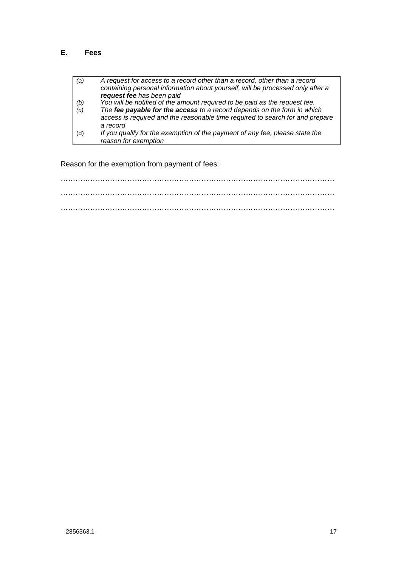# **E. Fees**

| (a) | A request for access to a record other than a record, other than a record<br>containing personal information about yourself, will be processed only after a<br>request fee has been paid |
|-----|------------------------------------------------------------------------------------------------------------------------------------------------------------------------------------------|
| (b) | You will be notified of the amount required to be paid as the request fee.                                                                                                               |
| (c) | The fee payable for the access to a record depends on the form in which<br>access is required and the reasonable time required to search for and prepare                                 |
|     | a record                                                                                                                                                                                 |
| (d) | If you qualify for the exemption of the payment of any fee, please state the<br>reason for exemption                                                                                     |
|     |                                                                                                                                                                                          |

Reason for the exemption from payment of fees:

………………………………………………………………………………………………… ………………………………………………………………………………………………… …………………………………………………………………………………………………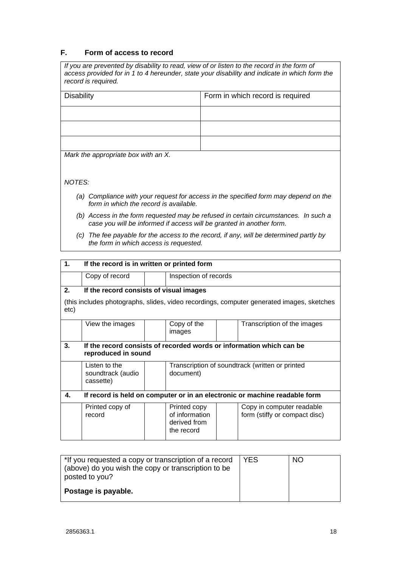# **F. Form of access to record**

| If you are prevented by disability to read, view of or listen to the record in the form of<br>access provided for in 1 to 4 hereunder, state your disability and indicate in which form the<br>record is required. |                                  |  |  |  |
|--------------------------------------------------------------------------------------------------------------------------------------------------------------------------------------------------------------------|----------------------------------|--|--|--|
| <b>Disability</b>                                                                                                                                                                                                  | Form in which record is required |  |  |  |
|                                                                                                                                                                                                                    |                                  |  |  |  |
|                                                                                                                                                                                                                    |                                  |  |  |  |
|                                                                                                                                                                                                                    |                                  |  |  |  |
| Mark the appropriate box with an X.                                                                                                                                                                                |                                  |  |  |  |
| NOTES:                                                                                                                                                                                                             |                                  |  |  |  |
| (a) Compliance with your request for access in the specified form may depend on the<br>form in which the record is available.                                                                                      |                                  |  |  |  |
| (b) Access in the form requested may be refused in certain circumstances. In such a<br>case you will be informed if access will be granted in another form.                                                        |                                  |  |  |  |

*(c) The fee payable for the access to the record, if any, will be determined partly by the form in which access is requested.* 

| 1.                                                                                                | If the record is in written or printed form                                                 |  |                                                              |  |                                                            |
|---------------------------------------------------------------------------------------------------|---------------------------------------------------------------------------------------------|--|--------------------------------------------------------------|--|------------------------------------------------------------|
|                                                                                                   | Copy of record                                                                              |  | Inspection of records                                        |  |                                                            |
| 2.                                                                                                | If the record consists of visual images                                                     |  |                                                              |  |                                                            |
| (this includes photographs, slides, video recordings, computer generated images, sketches<br>etc) |                                                                                             |  |                                                              |  |                                                            |
|                                                                                                   | View the images                                                                             |  | Copy of the<br>images                                        |  | Transcription of the images                                |
| 3.                                                                                                | If the record consists of recorded words or information which can be<br>reproduced in sound |  |                                                              |  |                                                            |
|                                                                                                   | Listen to the<br>soundtrack (audio<br>cassette)                                             |  | document)                                                    |  | Transcription of soundtrack (written or printed            |
| 4.                                                                                                | If record is held on computer or in an electronic or machine readable form                  |  |                                                              |  |                                                            |
|                                                                                                   | Printed copy of<br>record                                                                   |  | Printed copy<br>of information<br>derived from<br>the record |  | Copy in computer readable<br>form (stiffy or compact disc) |

| <b>YES</b> | NO. |
|------------|-----|
|            |     |
|            |     |
|            |     |
|            |     |
|            |     |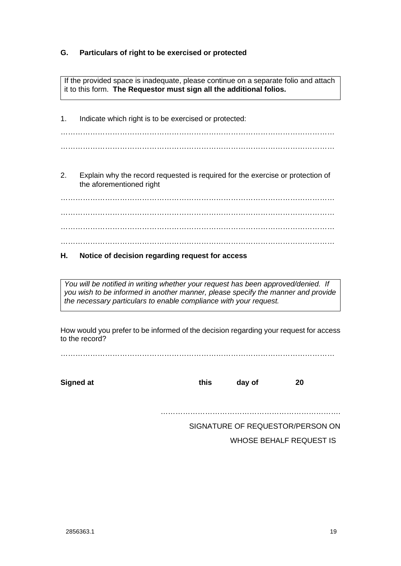# **G. Particulars of right to be exercised or protected**

If the provided space is inadequate, please continue on a separate folio and attach it to this form. **The Requestor must sign all the additional folios.** 

1. Indicate which right is to be exercised or protected: ………………………………………………………………………………………………… ………………………………………………………………………………………………… 2. Explain why the record requested is required for the exercise or protection of the aforementioned right

………………………………………………………………………………………………… ………………………………………………………………………………………………… ………………………………………………………………………………………………… …………………………………………………………………………………………………

# **H. Notice of decision regarding request for access**

*You will be notified in writing whether your request has been approved/denied. If you wish to be informed in another manner, please specify the manner and provide the necessary particulars to enable compliance with your request.* 

How would you prefer to be informed of the decision regarding your request for access to the record?

…………………………………………………………………………………………………

**Signed at this day of 20** 

……………………………………………………………….

SIGNATURE OF REQUESTOR/PERSON ON

WHOSE BEHALF REQUEST IS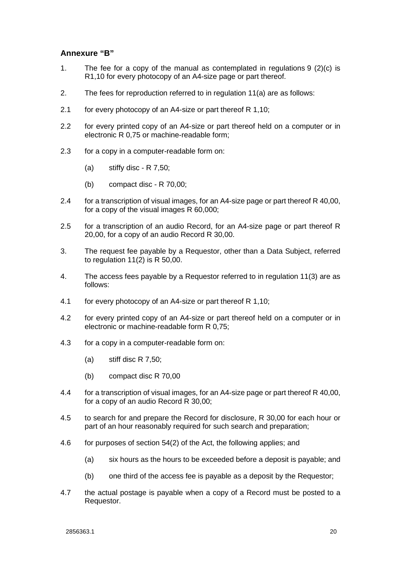# <span id="page-21-0"></span>**Annexure "B"**

- 1. The fee for a copy of the manual as contemplated in regulations 9 (2)(c) is R1,10 for every photocopy of an A4-size page or part thereof.
- 2. The fees for reproduction referred to in regulation 11(a) are as follows:
- 2.1 for every photocopy of an A4-size or part thereof R 1,10;
- 2.2 for every printed copy of an A4-size or part thereof held on a computer or in electronic R 0,75 or machine-readable form;
- 2.3 for a copy in a computer-readable form on:
	- $(a)$  stiffy disc R 7.50;
	- (b) compact disc R 70,00;
- 2.4 for a transcription of visual images, for an A4-size page or part thereof R 40,00, for a copy of the visual images R 60,000;
- 2.5 for a transcription of an audio Record, for an A4-size page or part thereof R 20,00, for a copy of an audio Record R 30,00.
- 3. The request fee payable by a Requestor, other than a Data Subject, referred to regulation  $11(2)$  is R 50,00.
- 4. The access fees payable by a Requestor referred to in regulation 11(3) are as follows:
- 4.1 for every photocopy of an A4-size or part thereof R 1,10;
- 4.2 for every printed copy of an A4-size or part thereof held on a computer or in electronic or machine-readable form R 0,75;
- 4.3 for a copy in a computer-readable form on:
	- (a) stiff disc R 7,50;
	- (b) compact disc R 70,00
- 4.4 for a transcription of visual images, for an A4-size page or part thereof R 40,00, for a copy of an audio Record R 30,00;
- 4.5 to search for and prepare the Record for disclosure, R 30,00 for each hour or part of an hour reasonably required for such search and preparation;
- 4.6 for purposes of section 54(2) of the Act, the following applies; and
	- (a) six hours as the hours to be exceeded before a deposit is payable; and
	- (b) one third of the access fee is payable as a deposit by the Requestor;
- 4.7 the actual postage is payable when a copy of a Record must be posted to a Requestor.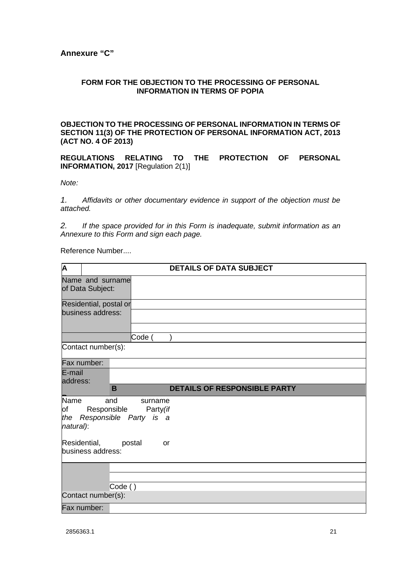# <span id="page-22-0"></span>**Annexure "C"**

# **FORM FOR THE OBJECTION TO THE PROCESSING OF PERSONAL INFORMATION IN TERMS OF POPIA**

# **OBJECTION TO THE PROCESSING OF PERSONAL INFORMATION IN TERMS OF SECTION 11(3) OF THE PROTECTION OF PERSONAL INFORMATION ACT, 2013 (ACT NO. 4 OF 2013)**

**REGULATIONS RELATING TO THE PROTECTION OF PERSONAL INFORMATION, 2017** [Regulation 2(1)]

*Note:* 

*1. Affidavits or other documentary evidence in support of the objection must be attached.* 

*2. If the space provided for in this Form is inadequate, submit information as an Annexure to this Form and sign each page.* 

Reference Number....

| $\overline{\mathsf{A}}$        |                                              | <b>DETAILS OF DATA SUBJECT</b>      |
|--------------------------------|----------------------------------------------|-------------------------------------|
|                                | Name and surname<br>of Data Subject:         |                                     |
|                                |                                              |                                     |
|                                | Residential, postal or                       |                                     |
|                                | business address:                            |                                     |
|                                |                                              | Code (                              |
|                                | Contact number(s):                           |                                     |
|                                | Fax number:                                  |                                     |
| E-mail<br>address:             |                                              |                                     |
|                                | B                                            | <b>DETAILS OF RESPONSIBLE PARTY</b> |
| Name<br>of<br>the<br>natural): | and<br>Responsible<br>Responsible Party is a | surname<br>Party (if                |
|                                | Residential,<br>postal<br>business address:  | or                                  |
|                                |                                              |                                     |
|                                |                                              |                                     |
|                                | Code ()                                      |                                     |
|                                | Contact number(s):                           |                                     |
|                                | Fax number:                                  |                                     |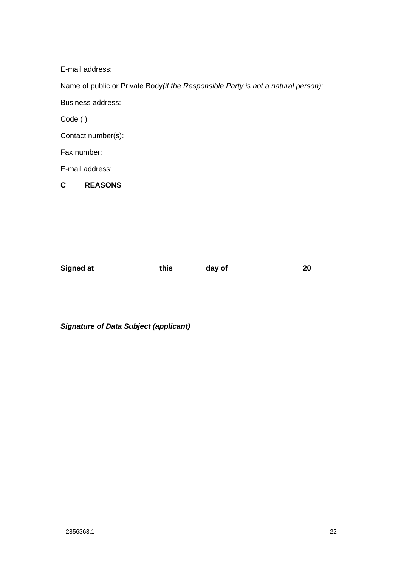E-mail address:

Name of public or Private Body*(if the Responsible Party is not a natural person)*:

Business address:

Code ( )

Contact number(s):

Fax number:

E-mail address:

**C REASONS** 

**Signed at this day of 20 and 20** 

*Signature of Data Subject (applicant)*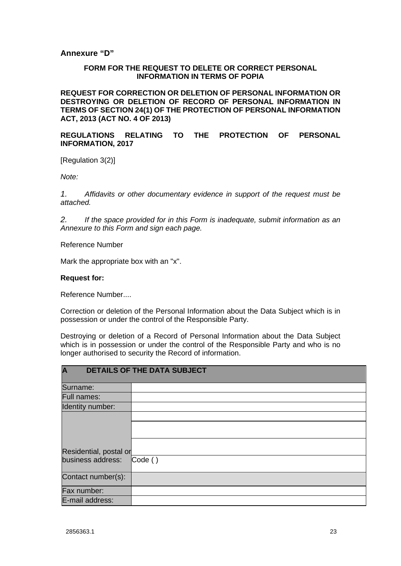# <span id="page-24-0"></span>**Annexure "D"**

# **FORM FOR THE REQUEST TO DELETE OR CORRECT PERSONAL INFORMATION IN TERMS OF POPIA**

**REQUEST FOR CORRECTION OR DELETION OF PERSONAL INFORMATION OR DESTROYING OR DELETION OF RECORD OF PERSONAL INFORMATION IN TERMS OF SECTION 24(1) OF THE PROTECTION OF PERSONAL INFORMATION ACT, 2013 (ACT NO. 4 OF 2013)** 

# **REGULATIONS RELATING TO THE PROTECTION OF PERSONAL INFORMATION, 2017**

[Regulation 3(2)]

*Note:* 

*1. Affidavits or other documentary evidence in support of the request must be attached.* 

*2. If the space provided for in this Form is inadequate, submit information as an Annexure to this Form and sign each page.* 

Reference Number

Mark the appropriate box with an "x".

### **Request for:**

Reference Number....

Correction or deletion of the Personal Information about the Data Subject which is in possession or under the control of the Responsible Party.

Destroying or deletion of a Record of Personal Information about the Data Subject which is in possession or under the control of the Responsible Party and who is no longer authorised to security the Record of information.

| $\overline{\mathsf{A}}$ | <b>DETAILS OF THE DATA SUBJECT</b> |
|-------------------------|------------------------------------|
| Surname:                |                                    |
| <b>Full names:</b>      |                                    |
| Identity number:        |                                    |
|                         |                                    |
|                         |                                    |
| Residential, postal or  |                                    |
| business address:       | $\mathsf{Code}()$                  |
| Contact number(s):      |                                    |
| Fax number:             |                                    |
| E-mail address:         |                                    |